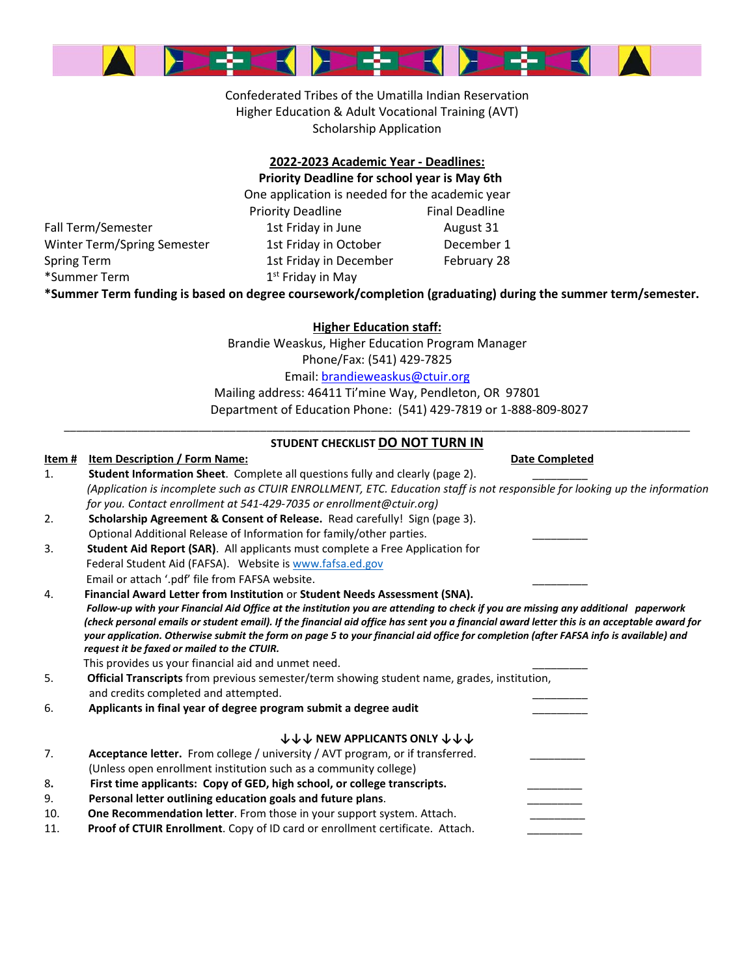

Confederated Tribes of the Umatilla Indian Reservation Higher Education & Adult Vocational Training (AVT) Scholarship Application

#### **2022-2023 Academic Year - Deadlines: Priority Deadline for school year is May 6th**

One application is needed for the academic year

Fall Term/Semester 1st Friday in June August 31 Winter Term/Spring Semester 1st Friday in October December 1 Spring Term 1st Friday in December February 28 \*Summer Term 1st Friday in May

Priority Deadline Final Deadline

**\*Summer Term funding is based on degree coursework/completion (graduating) during the summer term/semester.**

**Higher Education staff:** Brandie Weaskus, Higher Education Program Manager Phone/Fax: (541) 429-7825 Email: brandieweaskus@ctuir.org Mailing address: 46411 Ti'mine Way, Pendleton, OR 97801

Department of Education Phone: (541) 429-7819 or 1-888-809-8027

#### \_\_\_\_\_\_\_\_\_\_\_\_\_\_\_\_\_\_\_\_\_\_\_\_\_\_\_\_\_\_\_\_\_\_\_\_\_\_\_\_\_\_\_\_\_\_\_\_\_\_\_\_\_\_\_\_\_\_\_\_\_\_\_\_\_\_\_\_\_\_\_\_\_\_\_\_\_\_\_\_\_\_\_\_\_\_\_\_\_\_\_\_\_\_\_\_\_\_\_\_\_\_ **STUDENT CHECKLIST DO NOT TURN IN**

| <u>Item #</u> | <b>Item Description / Form Name:</b>                                                                                                        | <b>Date Completed</b> |  |  |  |  |  |  |  |  |
|---------------|---------------------------------------------------------------------------------------------------------------------------------------------|-----------------------|--|--|--|--|--|--|--|--|
| 1.            | Student Information Sheet. Complete all questions fully and clearly (page 2).                                                               |                       |  |  |  |  |  |  |  |  |
|               | (Application is incomplete such as CTUIR ENROLLMENT, ETC. Education staff is not responsible for looking up the information                 |                       |  |  |  |  |  |  |  |  |
|               | for you. Contact enrollment at 541-429-7035 or enrollment@ctuir.org)                                                                        |                       |  |  |  |  |  |  |  |  |
| 2.            | Scholarship Agreement & Consent of Release. Read carefully! Sign (page 3).                                                                  |                       |  |  |  |  |  |  |  |  |
|               | Optional Additional Release of Information for family/other parties.                                                                        |                       |  |  |  |  |  |  |  |  |
| 3.            | <b>Student Aid Report (SAR).</b> All applicants must complete a Free Application for                                                        |                       |  |  |  |  |  |  |  |  |
|               | Federal Student Aid (FAFSA). Website is www.fafsa.ed.gov                                                                                    |                       |  |  |  |  |  |  |  |  |
|               | Email or attach '.pdf' file from FAFSA website.                                                                                             |                       |  |  |  |  |  |  |  |  |
| 4.            | Financial Award Letter from Institution or Student Needs Assessment (SNA).                                                                  |                       |  |  |  |  |  |  |  |  |
|               | Follow-up with your Financial Aid Office at the institution you are attending to check if you are missing any additional paperwork          |                       |  |  |  |  |  |  |  |  |
|               | (check personal emails or student email). If the financial aid office has sent you a financial award letter this is an acceptable award for |                       |  |  |  |  |  |  |  |  |
|               | your application. Otherwise submit the form on page 5 to your financial aid office for completion (after FAFSA info is available) and       |                       |  |  |  |  |  |  |  |  |
|               | request it be faxed or mailed to the CTUIR.                                                                                                 |                       |  |  |  |  |  |  |  |  |
|               | This provides us your financial aid and unmet need.                                                                                         |                       |  |  |  |  |  |  |  |  |
| 5.            | <b>Official Transcripts</b> from previous semester/term showing student name, grades, institution,                                          |                       |  |  |  |  |  |  |  |  |
|               | and credits completed and attempted.                                                                                                        |                       |  |  |  |  |  |  |  |  |
| 6.            | Applicants in final year of degree program submit a degree audit                                                                            |                       |  |  |  |  |  |  |  |  |
|               | <b>↓↓↓ NEW APPLICANTS ONLY ↓↓↓</b>                                                                                                          |                       |  |  |  |  |  |  |  |  |
| 7.            | Acceptance letter. From college / university / AVT program, or if transferred.                                                              |                       |  |  |  |  |  |  |  |  |
|               | (Unless open enrollment institution such as a community college)                                                                            |                       |  |  |  |  |  |  |  |  |
| 8.            | First time applicants: Copy of GED, high school, or college transcripts.                                                                    |                       |  |  |  |  |  |  |  |  |
| 9.            | Personal letter outlining education goals and future plans.                                                                                 |                       |  |  |  |  |  |  |  |  |
| 10.           | One Recommendation letter. From those in your support system. Attach.                                                                       |                       |  |  |  |  |  |  |  |  |
| 11.           | Proof of CTUIR Enrollment. Copy of ID card or enrollment certificate. Attach.                                                               |                       |  |  |  |  |  |  |  |  |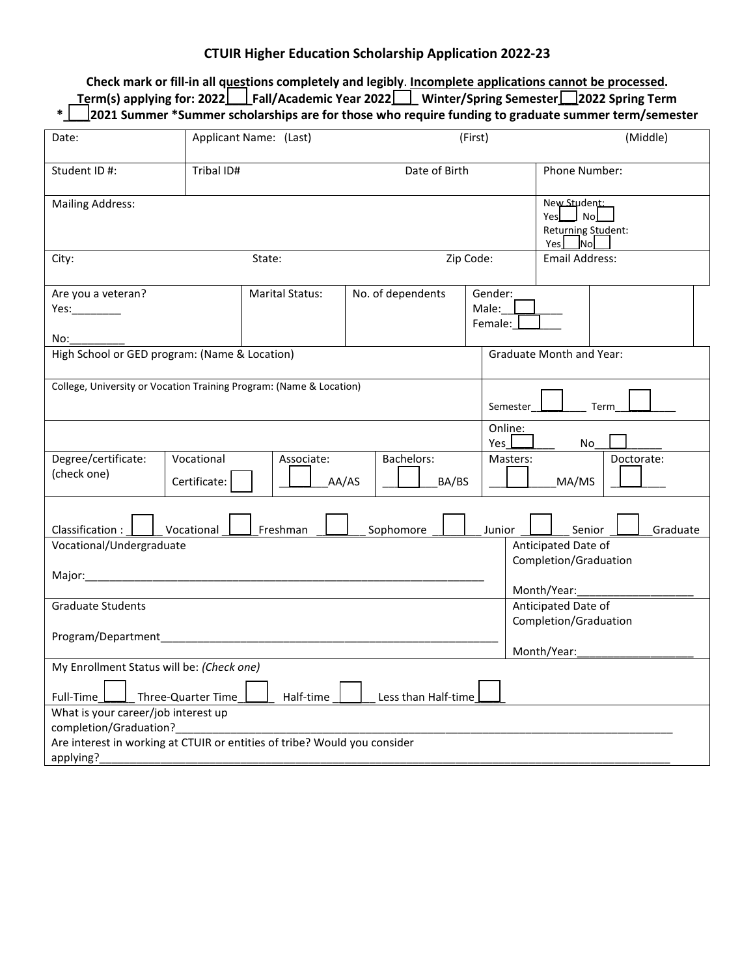## **CTUIR Higher Education Scholarship Application 2022-23**

**Check mark or fill-in all questions completely and legibly**. **Incomplete applications cannot be processed. Term(s) applying for: 2022\_\_\_\_Fall/Academic Year 2022\_\_\_\_ Winter/Spring Semester\_\_\_2022 Spring Term \*\_\_\_\_2021 Summer \*Summer scholarships are for those who require funding to graduate summer term/semester**

| Date:                                                                                                                                                   |                                                                                  | Applicant Name: (Last) |                       |           | (First)       |                                 | (Middle)                                                      |  |          |  |
|---------------------------------------------------------------------------------------------------------------------------------------------------------|----------------------------------------------------------------------------------|------------------------|-----------------------|-----------|---------------|---------------------------------|---------------------------------------------------------------|--|----------|--|
| Student ID #:                                                                                                                                           | Date of Birth                                                                    |                        |                       |           | Phone Number: |                                 |                                                               |  |          |  |
| <b>Mailing Address:</b>                                                                                                                                 |                                                                                  |                        |                       |           |               |                                 | New Student:<br>Yes sing No<br>Returning Student:<br>$Yes$ No |  |          |  |
| City:                                                                                                                                                   | Zip Code:                                                                        |                        | <b>Email Address:</b> |           |               |                                 |                                                               |  |          |  |
| Are you a veteran?<br>Yes:__________<br>No:                                                                                                             |                                                                                  | <b>Marital Status:</b> | No. of dependents     |           |               | Gender:<br>Male:<br>Female:     |                                                               |  |          |  |
|                                                                                                                                                         | High School or GED program: (Name & Location)<br><b>Graduate Month and Year:</b> |                        |                       |           |               |                                 |                                                               |  |          |  |
| College, University or Vocation Training Program: (Name & Location)                                                                                     |                                                                                  |                        |                       |           |               | Semester                        | Term                                                          |  |          |  |
|                                                                                                                                                         |                                                                                  |                        |                       |           |               | Online:<br>Yes                  | No                                                            |  |          |  |
| Degree/certificate:<br>Vocational<br>(check one)<br>Certificate:                                                                                        |                                                                                  | Associate:<br>AA/AS    | Bachelors:<br>BA/BS   |           |               | Masters:<br>Doctorate:<br>MA/MS |                                                               |  |          |  |
| Classification:                                                                                                                                         | Vocational                                                                       | Freshman               |                       | Sophomore |               | Junior                          | Senior                                                        |  | Graduate |  |
| Vocational/Undergraduate<br>Anticipated Date of<br>Completion/Graduation                                                                                |                                                                                  |                        |                       |           |               |                                 |                                                               |  |          |  |
| Major: Major: Major: Major: Major: Major: Major: Major: Major: Major: Major: Major: Major: Major: Major: Major<br>Month/Year:                           |                                                                                  |                        |                       |           |               |                                 |                                                               |  |          |  |
| <b>Graduate Students</b><br>Anticipated Date of<br>Completion/Graduation                                                                                |                                                                                  |                        |                       |           |               |                                 |                                                               |  |          |  |
| Month/Year:                                                                                                                                             |                                                                                  |                        |                       |           |               |                                 |                                                               |  |          |  |
| My Enrollment Status will be: (Check one)<br>Three-Quarter Time<br>Full-Time<br>Half-time<br>Less than Half-time                                        |                                                                                  |                        |                       |           |               |                                 |                                                               |  |          |  |
| What is your career/job interest up<br>completion/Graduation?<br>Are interest in working at CTUIR or entities of tribe? Would you consider<br>applying? |                                                                                  |                        |                       |           |               |                                 |                                                               |  |          |  |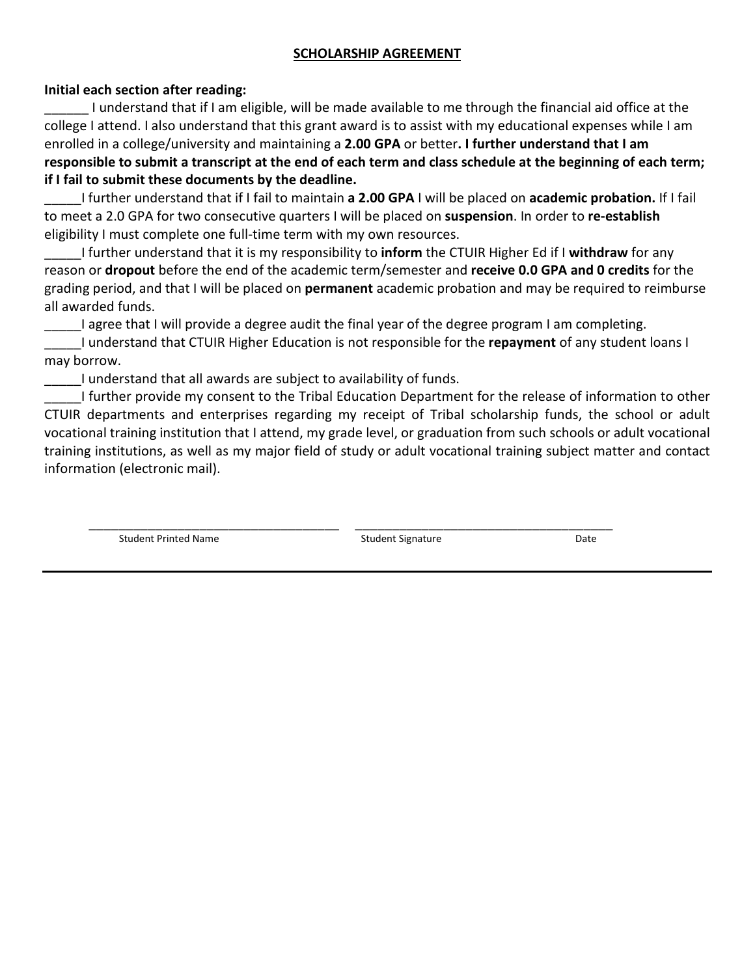## **SCHOLARSHIP AGREEMENT**

## **Initial each section after reading:**

I understand that if I am eligible, will be made available to me through the financial aid office at the college I attend. I also understand that this grant award is to assist with my educational expenses while I am enrolled in a college/university and maintaining a **2.00 GPA** or better**. I further understand that I am responsible to submit a transcript at the end of each term and class schedule at the beginning of each term; if I fail to submit these documents by the deadline.**

\_\_\_\_\_I further understand that if I fail to maintain **a 2.00 GPA** I will be placed on **academic probation.** If I fail to meet a 2.0 GPA for two consecutive quarters I will be placed on **suspension**. In order to **re-establish**  eligibility I must complete one full-time term with my own resources.

\_\_\_\_\_I further understand that it is my responsibility to **inform** the CTUIR Higher Ed if I **withdraw** for any reason or **dropout** before the end of the academic term/semester and **receive 0.0 GPA and 0 credits** for the grading period, and that I will be placed on **permanent** academic probation and may be required to reimburse all awarded funds.

I agree that I will provide a degree audit the final year of the degree program I am completing.

\_\_\_\_\_I understand that CTUIR Higher Education is not responsible for the **repayment** of any student loans I may borrow.

I understand that all awards are subject to availability of funds.

\_\_\_\_\_I further provide my consent to the Tribal Education Department for the release of information to other CTUIR departments and enterprises regarding my receipt of Tribal scholarship funds, the school or adult vocational training institution that I attend, my grade level, or graduation from such schools or adult vocational training institutions, as well as my major field of study or adult vocational training subject matter and contact information (electronic mail).

\_\_\_\_\_\_\_\_\_\_\_\_\_\_\_\_\_\_\_\_\_\_\_\_\_\_\_\_\_\_\_\_\_\_ \_\_\_\_\_\_\_\_\_\_\_\_\_\_\_\_\_\_\_\_\_\_\_\_\_\_\_\_\_\_\_\_\_\_\_ Student Printed Name Student Signature Date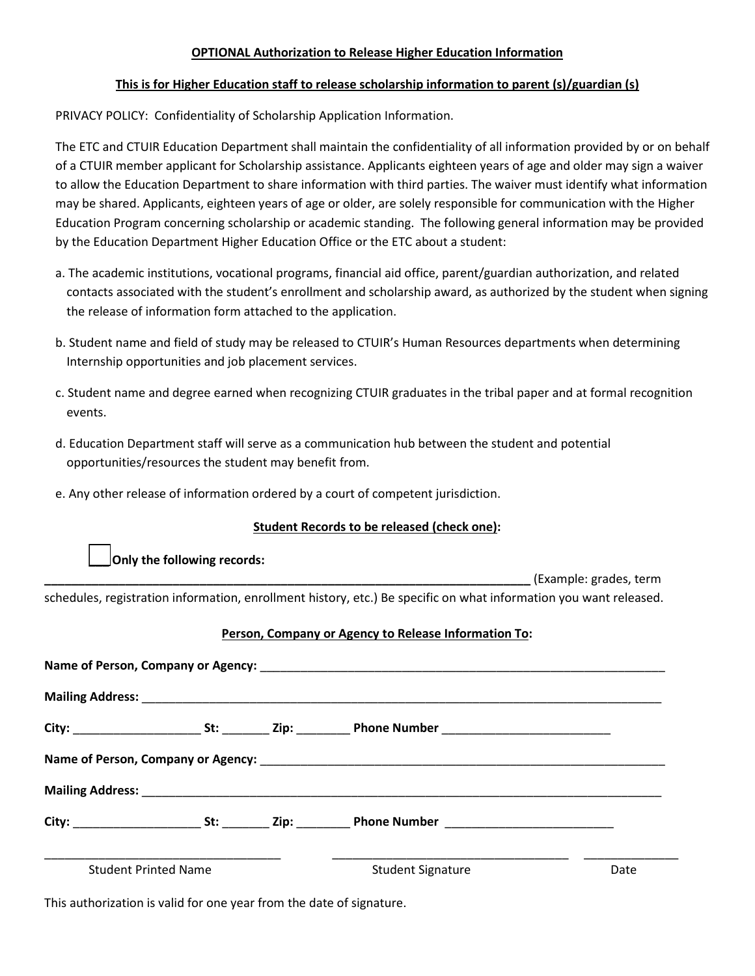#### **OPTIONAL Authorization to Release Higher Education Information**

#### **This is for Higher Education staff to release scholarship information to parent (s)/guardian (s)**

PRIVACY POLICY: Confidentiality of Scholarship Application Information.

The ETC and CTUIR Education Department shall maintain the confidentiality of all information provided by or on behalf of a CTUIR member applicant for Scholarship assistance. Applicants eighteen years of age and older may sign a waiver to allow the Education Department to share information with third parties. The waiver must identify what information may be shared. Applicants, eighteen years of age or older, are solely responsible for communication with the Higher Education Program concerning scholarship or academic standing. The following general information may be provided by the Education Department Higher Education Office or the ETC about a student:

- a. The academic institutions, vocational programs, financial aid office, parent/guardian authorization, and related contacts associated with the student's enrollment and scholarship award, as authorized by the student when signing the release of information form attached to the application.
- b. Student name and field of study may be released to CTUIR's Human Resources departments when determining Internship opportunities and job placement services.
- c. Student name and degree earned when recognizing CTUIR graduates in the tribal paper and at formal recognition events.
- d. Education Department staff will serve as a communication hub between the student and potential opportunities/resources the student may benefit from.
- e. Any other release of information ordered by a court of competent jurisdiction.

### **Student Records to be released (check one):**

**Only the following records:** 

**\_\_\_\_\_\_\_\_\_\_\_\_\_\_\_\_\_\_\_\_\_\_\_\_\_\_\_\_\_\_\_\_\_\_\_\_\_\_\_\_\_\_\_\_\_\_\_\_\_\_\_\_\_\_\_\_\_\_\_\_\_\_\_\_\_\_\_\_\_\_\_\_** (Example: grades, term schedules, registration information, enrollment history, etc.) Be specific on what information you want released.

### **Person, Company or Agency to Release Information To:**

| <b>Student Printed Name</b> |  |  | <b>Student Signature</b> | Date |  |  |  |  |  |  |
|-----------------------------|--|--|--------------------------|------|--|--|--|--|--|--|

This authorization is valid for one year from the date of signature.